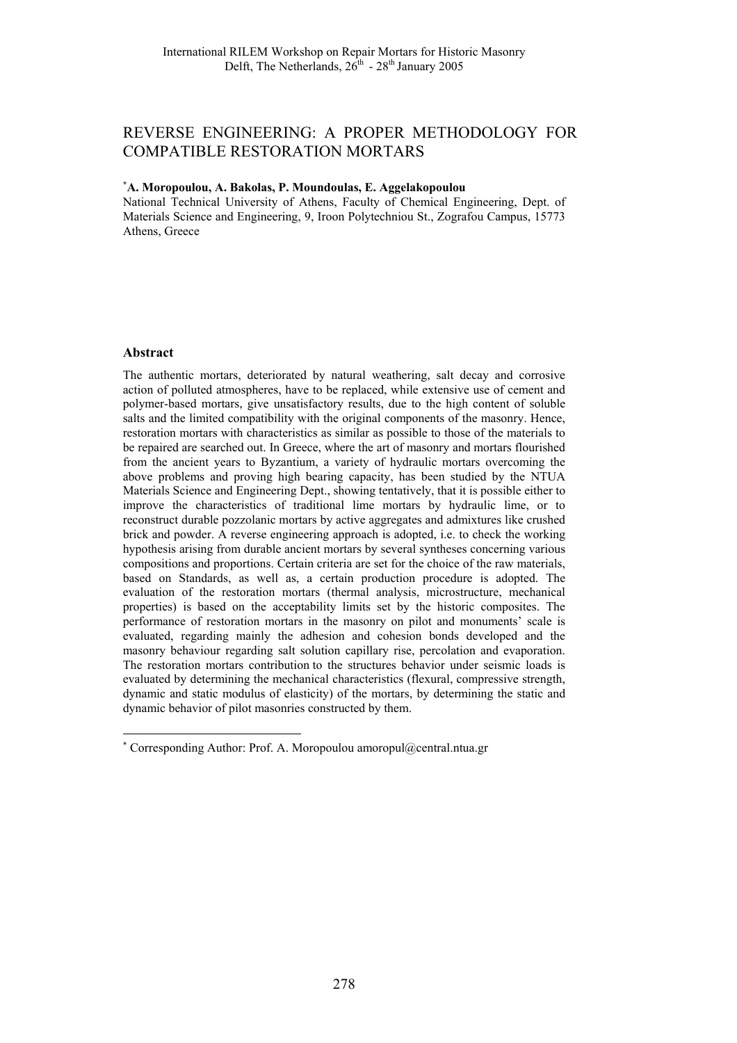# REVERSE ENGINEERING: A PROPER METHODOLOGY FOR COMPATIBLE RESTORATION MORTARS

# ∗ **A. Moropoulou, A. Bakolas, P. Moundoulas, E. Aggelakopoulou**

National Technical University of Athens, Faculty of Chemical Engineering, Dept. of Materials Science and Engineering, 9, Iroon Polytechniou St., Zografou Campus, 15773 Athens, Greece

### **Abstract**

l

The authentic mortars, deteriorated by natural weathering, salt decay and corrosive action of polluted atmospheres, have to be replaced, while extensive use of cement and polymer-based mortars, give unsatisfactory results, due to the high content of soluble salts and the limited compatibility with the original components of the masonry. Hence, restoration mortars with characteristics as similar as possible to those of the materials to be repaired are searched out. In Greece, where the art of masonry and mortars flourished from the ancient years to Byzantium, a variety of hydraulic mortars overcoming the above problems and proving high bearing capacity, has been studied by the NTUA Materials Science and Engineering Dept., showing tentatively, that it is possible either to improve the characteristics of traditional lime mortars by hydraulic lime, or to reconstruct durable pozzolanic mortars by active aggregates and admixtures like crushed brick and powder. A reverse engineering approach is adopted, i.e. to check the working hypothesis arising from durable ancient mortars by several syntheses concerning various compositions and proportions. Certain criteria are set for the choice of the raw materials, based on Standards, as well as, a certain production procedure is adopted. The evaluation of the restoration mortars (thermal analysis, microstructure, mechanical properties) is based on the acceptability limits set by the historic composites. The performance of restoration mortars in the masonry on pilot and monuments' scale is evaluated, regarding mainly the adhesion and cohesion bonds developed and the masonry behaviour regarding salt solution capillary rise, percolation and evaporation. The restoration mortars contribution to the structures behavior under seismic loads is evaluated by determining the mechanical characteristics (flexural, compressive strength, dynamic and static modulus of elasticity) of the mortars, by determining the static and dynamic behavior of pilot masonries constructed by them.

<sup>∗</sup> Corresponding Author: Prof. A. Moropoulou amoropul@central.ntua.gr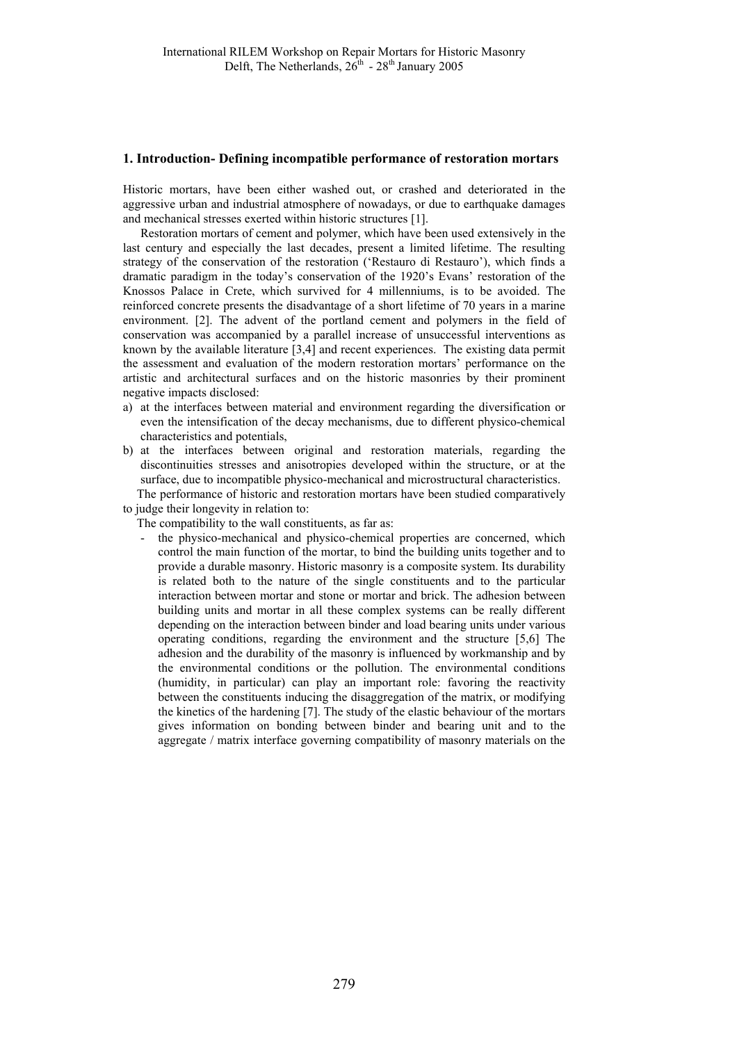#### **1. Introduction- Defining incompatible performance of restoration mortars**

Historic mortars, have been either washed out, or crashed and deteriorated in the aggressive urban and industrial atmosphere of nowadays, or due to earthquake damages and mechanical stresses exerted within historic structures [1].

Restoration mortars of cement and polymer, which have been used extensively in the last century and especially the last decades, present a limited lifetime. The resulting strategy of the conservation of the restoration ('Restauro di Restauro'), which finds a dramatic paradigm in the today's conservation of the 1920's Evans' restoration of the Knossos Palace in Crete, which survived for 4 millenniums, is to be avoided. The reinforced concrete presents the disadvantage of a short lifetime of 70 years in a marine environment. [2]. The advent of the portland cement and polymers in the field of conservation was accompanied by a parallel increase of unsuccessful interventions as known by the available literature [3,4] and recent experiences. The existing data permit the assessment and evaluation of the modern restoration mortars' performance on the artistic and architectural surfaces and on the historic masonries by their prominent negative impacts disclosed:

- a) at the interfaces between material and environment regarding the diversification or even the intensification of the decay mechanisms, due to different physico-chemical characteristics and potentials,
- b) at the interfaces between original and restoration materials, regarding the discontinuities stresses and anisotropies developed within the structure, or at the surface, due to incompatible physico-mechanical and microstructural characteristics. The performance of historic and restoration mortars have been studied comparatively
- to judge their longevity in relation to:

The compatibility to the wall constituents, as far as:

the physico-mechanical and physico-chemical properties are concerned, which control the main function of the mortar, to bind the building units together and to provide a durable masonry. Historic masonry is a composite system. Its durability is related both to the nature of the single constituents and to the particular interaction between mortar and stone or mortar and brick. The adhesion between building units and mortar in all these complex systems can be really different depending on the interaction between binder and load bearing units under various operating conditions, regarding the environment and the structure [5,6] The adhesion and the durability of the masonry is influenced by workmanship and by the environmental conditions or the pollution. The environmental conditions (humidity, in particular) can play an important role: favoring the reactivity between the constituents inducing the disaggregation of the matrix, or modifying the kinetics of the hardening [7]. The study of the elastic behaviour of the mortars gives information on bonding between binder and bearing unit and to the aggregate / matrix interface governing compatibility of masonry materials on the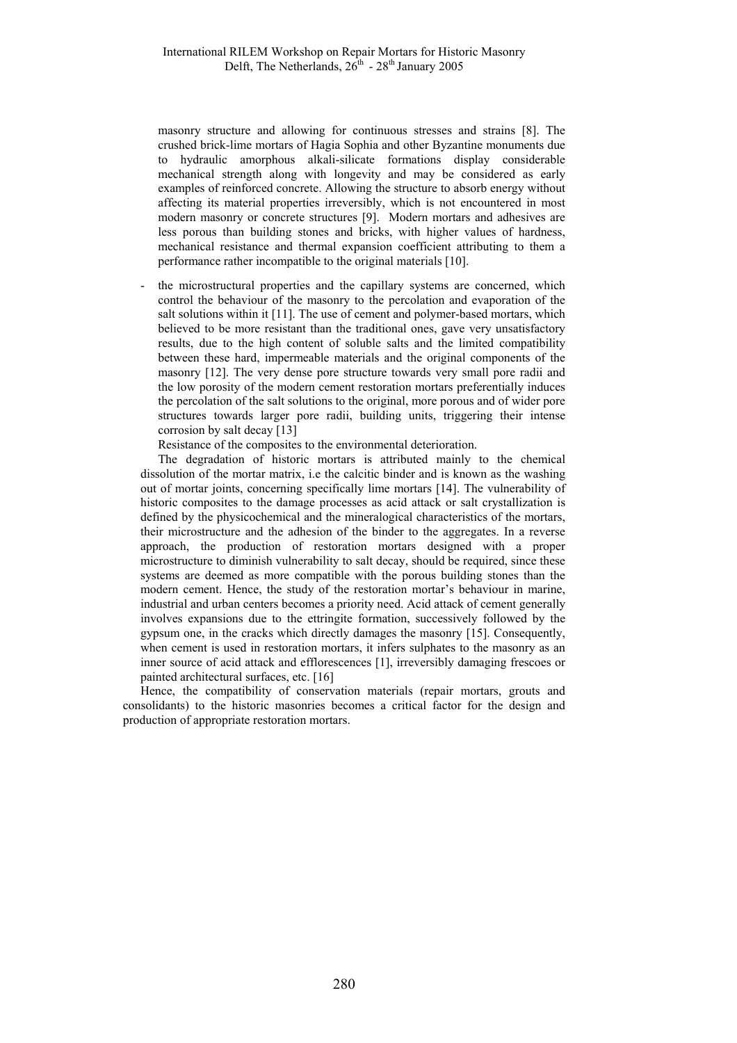masonry structure and allowing for continuous stresses and strains [8]. The crushed brick-lime mortars of Hagia Sophia and other Byzantine monuments due to hydraulic amorphous alkali-silicate formations display considerable mechanical strength along with longevity and may be considered as early examples of reinforced concrete. Allowing the structure to absorb energy without affecting its material properties irreversibly, which is not encountered in most modern masonry or concrete structures [9]. Modern mortars and adhesives are less porous than building stones and bricks, with higher values of hardness, mechanical resistance and thermal expansion coefficient attributing to them a performance rather incompatible to the original materials [10].

the microstructural properties and the capillary systems are concerned, which control the behaviour of the masonry to the percolation and evaporation of the salt solutions within it [11]. The use of cement and polymer-based mortars, which believed to be more resistant than the traditional ones, gave very unsatisfactory results, due to the high content of soluble salts and the limited compatibility between these hard, impermeable materials and the original components of the masonry [12]. The very dense pore structure towards very small pore radii and the low porosity of the modern cement restoration mortars preferentially induces the percolation of the salt solutions to the original, more porous and of wider pore structures towards larger pore radii, building units, triggering their intense corrosion by salt decay [13]

Resistance of the composites to the environmental deterioration.

The degradation of historic mortars is attributed mainly to the chemical dissolution of the mortar matrix, i.e the calcitic binder and is known as the washing out of mortar joints, concerning specifically lime mortars [14]. The vulnerability of historic composites to the damage processes as acid attack or salt crystallization is defined by the physicochemical and the mineralogical characteristics of the mortars, their microstructure and the adhesion of the binder to the aggregates. In a reverse approach, the production of restoration mortars designed with a proper microstructure to diminish vulnerability to salt decay, should be required, since these systems are deemed as more compatible with the porous building stones than the modern cement. Hence, the study of the restoration mortar's behaviour in marine, industrial and urban centers becomes a priority need. Acid attack of cement generally involves expansions due to the ettringite formation, successively followed by the gypsum one, in the cracks which directly damages the masonry [15]. Consequently, when cement is used in restoration mortars, it infers sulphates to the masonry as an inner source of acid attack and efflorescences [1], irreversibly damaging frescoes or painted architectural surfaces, etc. [16]

Hence, the compatibility of conservation materials (repair mortars, grouts and consolidants) to the historic masonries becomes a critical factor for the design and production of appropriate restoration mortars.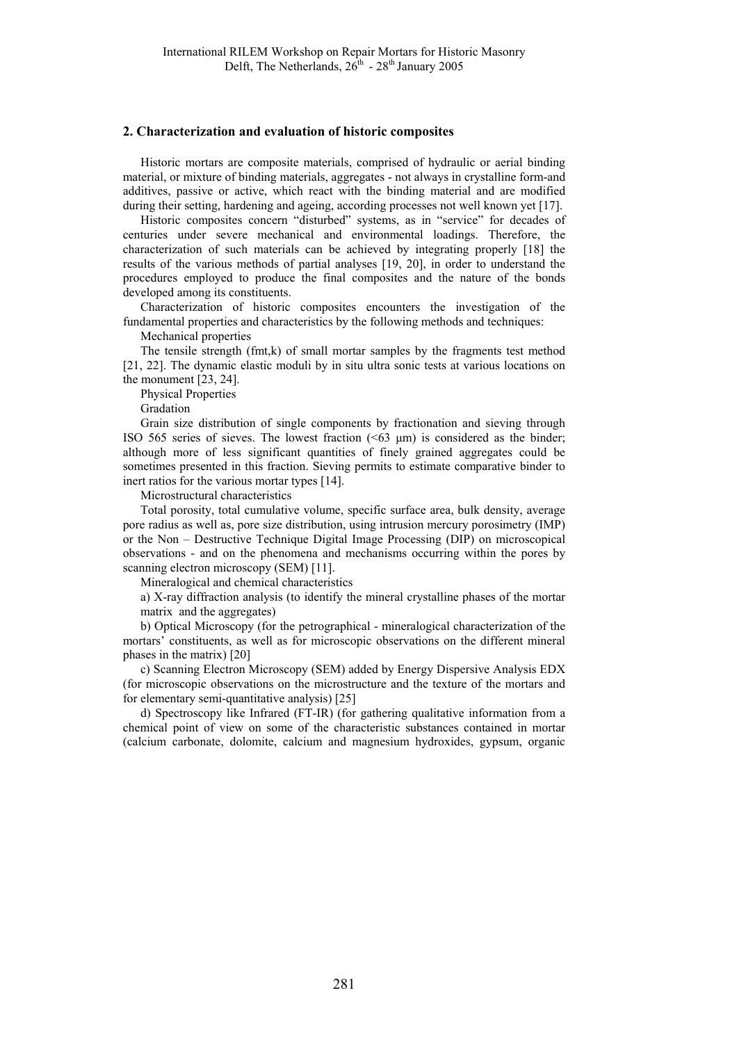#### **2. Characterization and evaluation of historic composites**

Historic mortars are composite materials, comprised of hydraulic or aerial binding material, or mixture of binding materials, aggregates - not always in crystalline form-and additives, passive or active, which react with the binding material and are modified during their setting, hardening and ageing, according processes not well known yet [17].

Historic composites concern "disturbed" systems, as in "service" for decades of centuries under severe mechanical and environmental loadings. Therefore, the characterization of such materials can be achieved by integrating properly [18] the results of the various methods of partial analyses [19, 20], in order to understand the procedures employed to produce the final composites and the nature of the bonds developed among its constituents.

Characterization of historic composites encounters the investigation of the fundamental properties and characteristics by the following methods and techniques:

Mechanical properties

The tensile strength (fmt,k) of small mortar samples by the fragments test method [21, 22]. The dynamic elastic moduli by in situ ultra sonic tests at various locations on the monument [23, 24].

Physical Properties

Gradation

Grain size distribution of single components by fractionation and sieving through ISO 565 series of sieves. The lowest fraction  $( $63 \mu m$ )$  is considered as the binder; although more of less significant quantities of finely grained aggregates could be sometimes presented in this fraction. Sieving permits to estimate comparative binder to inert ratios for the various mortar types [14].

Microstructural characteristics

Total porosity, total cumulative volume, specific surface area, bulk density, average pore radius as well as, pore size distribution, using intrusion mercury porosimetry (IMP) or the Non – Destructive Technique Digital Image Processing (DIP) on microscopical observations - and on the phenomena and mechanisms occurring within the pores by scanning electron microscopy (SEM) [11].

Mineralogical and chemical characteristics

a) X-ray diffraction analysis (to identify the mineral crystalline phases of the mortar matrix and the aggregates)

b) Optical Microscopy (for the petrographical - mineralogical characterization of the mortars' constituents, as well as for microscopic observations on the different mineral phases in the matrix) [20]

c) Scanning Electron Microscopy (SEM) added by Energy Dispersive Analysis EDX (for microscopic observations on the microstructure and the texture of the mortars and for elementary semi-quantitative analysis) [25]

d) Spectroscopy like Infrared (FT-IR) (for gathering qualitative information from a chemical point of view on some of the characteristic substances contained in mortar (calcium carbonate, dolomite, calcium and magnesium hydroxides, gypsum, organic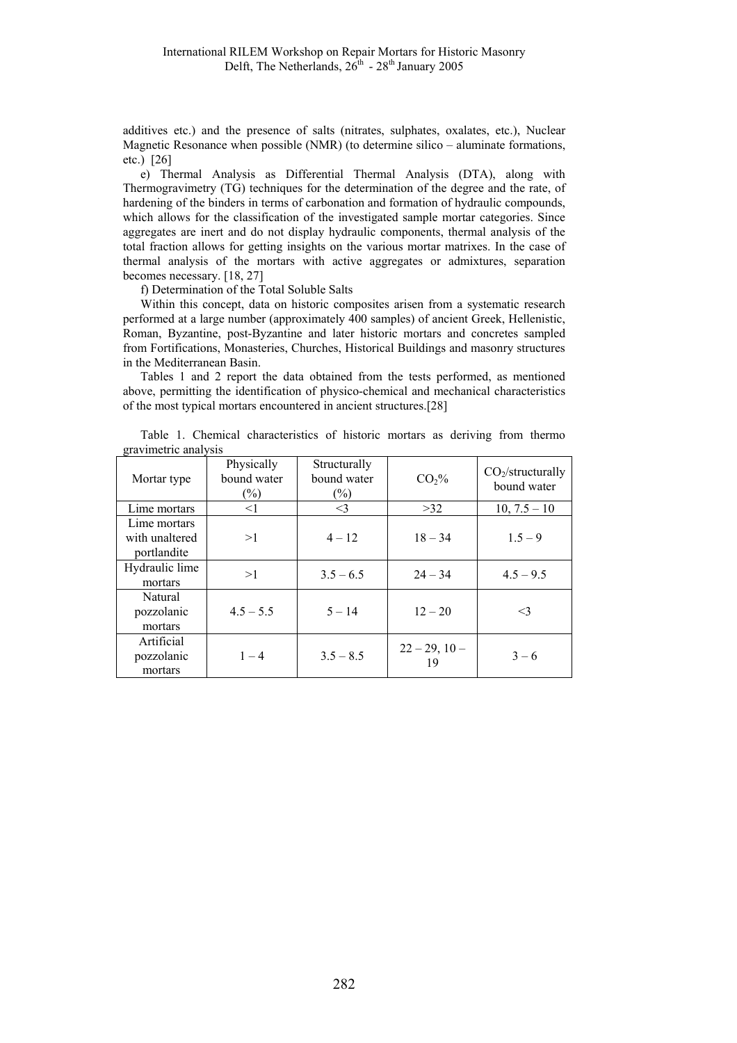additives etc.) and the presence of salts (nitrates, sulphates, oxalates, etc.), Nuclear Magnetic Resonance when possible (NMR) (to determine silico – aluminate formations, etc.) [26]

e) Thermal Analysis as Differential Thermal Analysis (DTA), along with Thermogravimetry (TG) techniques for the determination of the degree and the rate, of hardening of the binders in terms of carbonation and formation of hydraulic compounds, which allows for the classification of the investigated sample mortar categories. Since aggregates are inert and do not display hydraulic components, thermal analysis of the total fraction allows for getting insights on the various mortar matrixes. In the case of thermal analysis of the mortars with active aggregates or admixtures, separation becomes necessary. [18, 27]

f) Determination of the Total Soluble Salts

Within this concept, data on historic composites arisen from a systematic research performed at a large number (approximately 400 samples) of ancient Greek, Hellenistic, Roman, Byzantine, post-Byzantine and later historic mortars and concretes sampled from Fortifications, Monasteries, Churches, Historical Buildings and masonry structures in the Mediterranean Basin.

Tables 1 and 2 report the data obtained from the tests performed, as mentioned above, permitting the identification of physico-chemical and mechanical characteristics of the most typical mortars encountered in ancient structures.[28]

|                      | Table 1. Chemical characteristics of historic mortars as deriving from thermo |  |  |  |  |
|----------------------|-------------------------------------------------------------------------------|--|--|--|--|
| gravimetric analysis |                                                                               |  |  |  |  |

| Mortar type                                   | Physically<br>bound water<br>$(\%)$ | Structurally<br>bound water<br>$(\%)$ |                          | CO <sub>2</sub> /structurally<br>bound water |  |
|-----------------------------------------------|-------------------------------------|---------------------------------------|--------------------------|----------------------------------------------|--|
| Lime mortars                                  | $\leq$ 1                            | $\leq$ 3                              | >32                      | $10, 7.5 - 10$                               |  |
| Lime mortars<br>with unaltered<br>portlandite | >1                                  | $4 - 12$                              | $18 - 34$                | $1.5 - 9$                                    |  |
| Hydraulic lime<br>mortars                     | >1                                  | $3.5 - 6.5$                           | $24 - 34$                | $4.5 - 9.5$                                  |  |
| Natural<br>pozzolanic<br>mortars              | $4.5 - 5.5$                         | $5 - 14$                              | $12 - 20$                | <3                                           |  |
| Artificial<br>pozzolanic<br>mortars           | $1 - 4$                             | $3.5 - 8.5$                           | $22 - 29$ , $10 -$<br>19 | $3 - 6$                                      |  |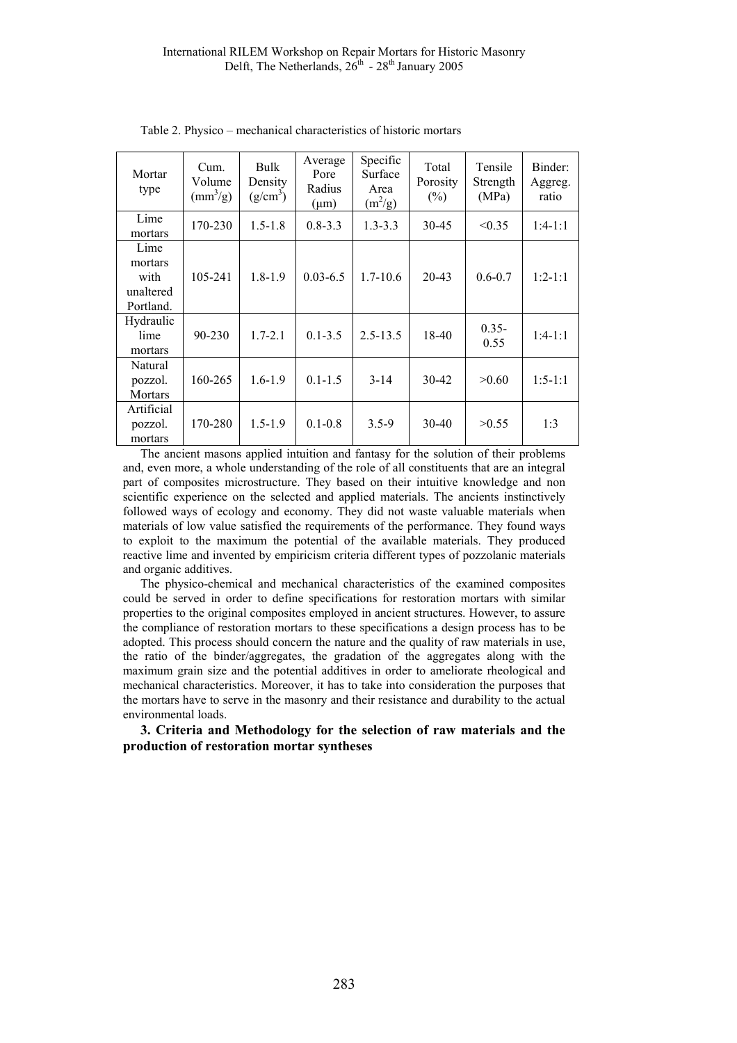| Mortar<br>type                                    | Cum.<br>Volume<br>$\left(\frac{mm^3}{g}\right)$ | Bulk<br>Density<br>$(g/cm^3)$ | Average<br>Pore<br>Radius<br>$(\mu m)$ | Specific<br>Surface<br>Area<br>$(m^2/g)$ | Total<br>Porosity<br>$(\%)$ | Tensile<br>Strength<br>(MPa) | Binder:<br>Aggreg.<br>ratio |
|---------------------------------------------------|-------------------------------------------------|-------------------------------|----------------------------------------|------------------------------------------|-----------------------------|------------------------------|-----------------------------|
| Lime<br>mortars                                   | 170-230                                         | $1.5 - 1.8$                   | $0.8 - 3.3$                            | $1.3 - 3.3$                              | 30-45                       | < 0.35                       | $1:4-1:1$                   |
| Lime<br>mortars<br>with<br>unaltered<br>Portland. | 105-241                                         | $1.8 - 1.9$                   | $0.03 - 6.5$                           | $1.7 - 10.6$                             | $20 - 43$                   | $0.6 - 0.7$                  | $1:2 - 1:1$                 |
| Hydraulic<br>lime<br>mortars                      | $90 - 230$                                      | $1.7 - 2.1$                   | $0.1 - 3.5$                            | $2.5 - 13.5$                             | $18-40$                     | $0.35 -$<br>0.55             | $1:4-1:1$                   |
| Natural<br>pozzol.<br><b>Mortars</b>              | 160-265                                         | $1.6 - 1.9$                   | $0.1 - 1.5$                            | $3 - 14$                                 | 30-42                       | >0.60                        | $1:5-1:1$                   |
| Artificial<br>pozzol.<br>mortars                  | 170-280                                         | $1.5 - 1.9$                   | $0.1 - 0.8$                            | $3.5 - 9$                                | 30-40                       | >0.55                        | 1:3                         |

Table 2. Physico – mechanical characteristics of historic mortars

The ancient masons applied intuition and fantasy for the solution of their problems and, even more, a whole understanding of the role of all constituents that are an integral part of composites microstructure. They based on their intuitive knowledge and non scientific experience on the selected and applied materials. The ancients instinctively followed ways of ecology and economy. They did not waste valuable materials when materials of low value satisfied the requirements of the performance. They found ways to exploit to the maximum the potential of the available materials. They produced reactive lime and invented by empiricism criteria different types of pozzolanic materials and organic additives.

The physico-chemical and mechanical characteristics of the examined composites could be served in order to define specifications for restoration mortars with similar properties to the original composites employed in ancient structures. However, to assure the compliance of restoration mortars to these specifications a design process has to be adopted. This process should concern the nature and the quality of raw materials in use, the ratio of the binder/aggregates, the gradation of the aggregates along with the maximum grain size and the potential additives in order to ameliorate rheological and mechanical characteristics. Moreover, it has to take into consideration the purposes that the mortars have to serve in the masonry and their resistance and durability to the actual environmental loads.

**3. Criteria and Methodology for the selection of raw materials and the production of restoration mortar syntheses**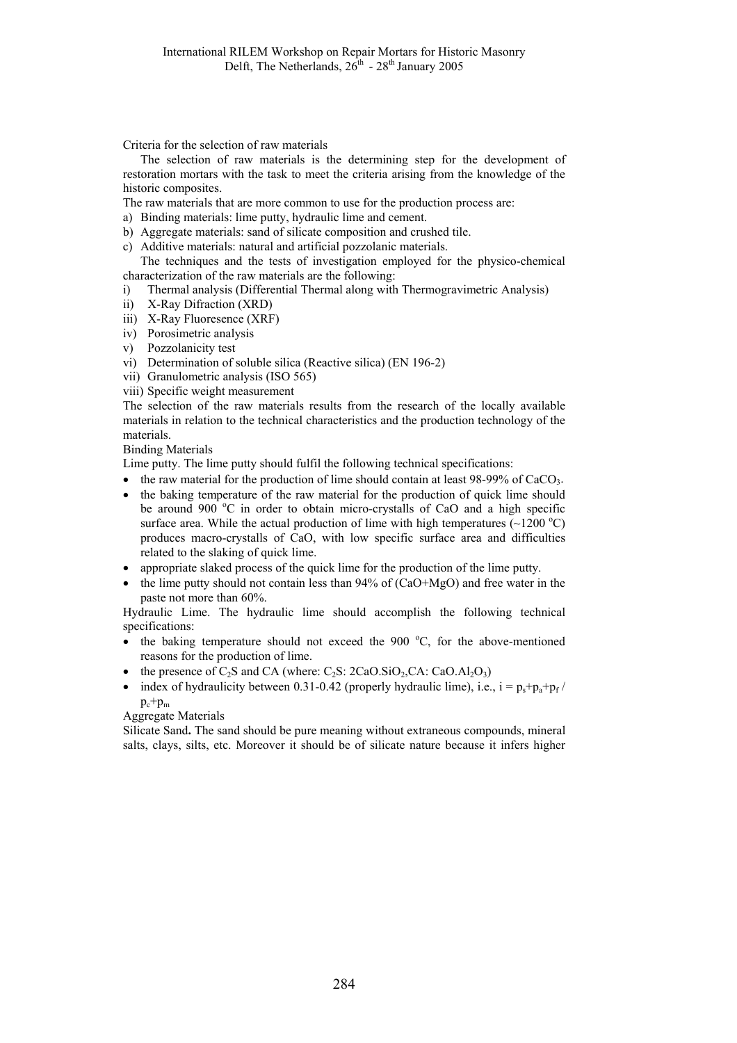Criteria for the selection of raw materials

The selection of raw materials is the determining step for the development of restoration mortars with the task to meet the criteria arising from the knowledge of the historic composites.

The raw materials that are more common to use for the production process are:

- a) Binding materials: lime putty, hydraulic lime and cement.
- b) Aggregate materials: sand of silicate composition and crushed tile.
- c) Additive materials: natural and artificial pozzolanic materials. The techniques and the tests of investigation employed for the physico-chemical

characterization of the raw materials are the following:

- i) Thermal analysis (Differential Thermal along with Thermogravimetric Analysis)
- ii) X-Ray Difraction (XRD)
- iii) X-Ray Fluoresence (XRF)
- iv) Porosimetric analysis
- v) Pozzolanicity test
- vi) Determination of soluble silica (Reactive silica) (EN 196-2)
- vii) Granulometric analysis (ISO 565)
- viii) Specific weight measurement

The selection of the raw materials results from the research of the locally available materials in relation to the technical characteristics and the production technology of the materials.

Binding Materials

Lime putty. The lime putty should fulfil the following technical specifications:

- the raw material for the production of lime should contain at least  $98-99\%$  of CaCO<sub>3</sub>.
- the baking temperature of the raw material for the production of quick lime should be around 900 °C in order to obtain micro-crystalls of CaO and a high specific surface area. While the actual production of lime with high temperatures  $(-1200 \degree C)$ produces macro-crystalls of CaO, with low specific surface area and difficulties related to the slaking of quick lime.
- appropriate slaked process of the quick lime for the production of the lime putty.
- the lime putty should not contain less than  $94\%$  of (CaO+MgO) and free water in the paste not more than 60%.

Hydraulic Lime. The hydraulic lime should accomplish the following technical specifications:

- $\bullet$  the baking temperature should not exceed the 900 °C, for the above-mentioned reasons for the production of lime.
- the presence of  $C_2S$  and CA (where:  $C_2S$ :  $2CaO.SiO_2, CA$ :  $CaO.Al_2O_3$ )
- index of hydraulicity between 0.31-0.42 (properly hydraulic lime), i.e.,  $i = p_s + p_a + p_f$  $p_c+p_m$

Aggregate Materials

Silicate Sand**.** The sand should be pure meaning without extraneous compounds, mineral salts, clays, silts, etc. Moreover it should be of silicate nature because it infers higher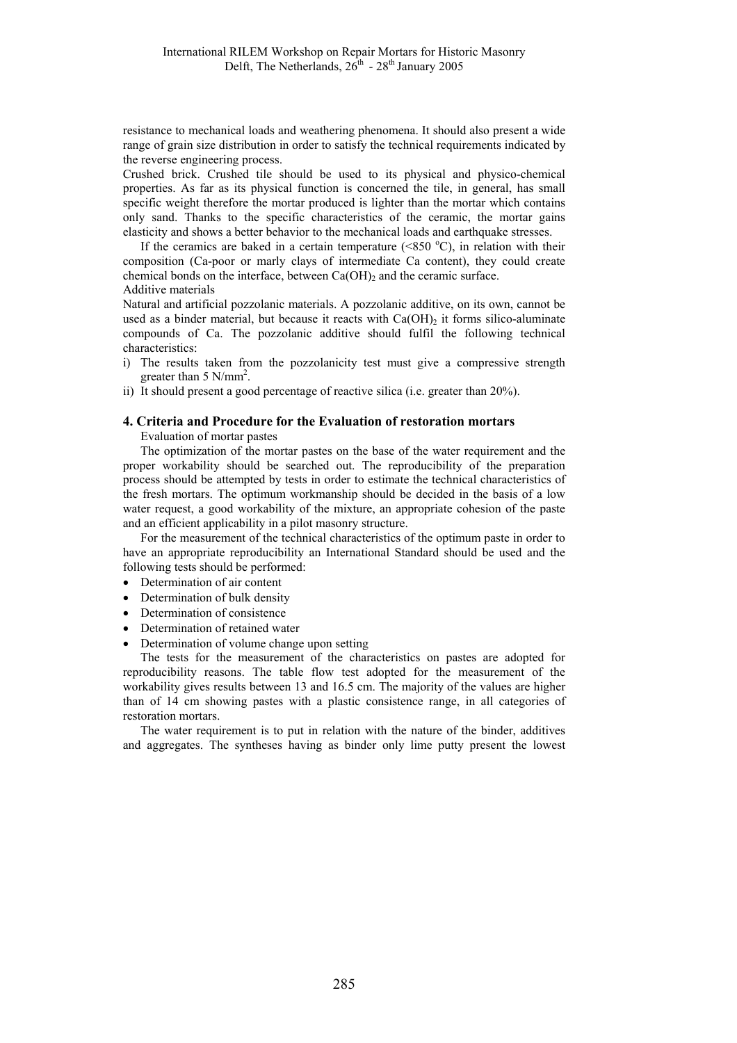resistance to mechanical loads and weathering phenomena. It should also present a wide range of grain size distribution in order to satisfy the technical requirements indicated by the reverse engineering process.

Crushed brick. Crushed tile should be used to its physical and physico-chemical properties. As far as its physical function is concerned the tile, in general, has small specific weight therefore the mortar produced is lighter than the mortar which contains only sand. Thanks to the specific characteristics of the ceramic, the mortar gains elasticity and shows a better behavior to the mechanical loads and earthquake stresses.

If the ceramics are baked in a certain temperature  $(*850 °C)$ , in relation with their composition (Ca-poor or marly clays of intermediate Ca content), they could create chemical bonds on the interface, between  $Ca(OH)_2$  and the ceramic surface. Additive materials

Natural and artificial pozzolanic materials. A pozzolanic additive, on its own, cannot be used as a binder material, but because it reacts with  $Ca(OH)_2$  it forms silico-aluminate compounds of Ca. The pozzolanic additive should fulfil the following technical characteristics:

- i) The results taken from the pozzolanicity test must give a compressive strength greater than  $5 \text{ N/mm}^2$ .
- ii) It should present a good percentage of reactive silica (i.e. greater than 20%).

#### **4. Criteria and Procedure for the Evaluation of restoration mortars**

Evaluation of mortar pastes

The optimization of the mortar pastes on the base of the water requirement and the proper workability should be searched out. The reproducibility of the preparation process should be attempted by tests in order to estimate the technical characteristics of the fresh mortars. The optimum workmanship should be decided in the basis of a low water request, a good workability of the mixture, an appropriate cohesion of the paste and an efficient applicability in a pilot masonry structure.

For the measurement of the technical characteristics of the optimum paste in order to have an appropriate reproducibility an International Standard should be used and the following tests should be performed:

- Determination of air content
- Determination of bulk density
- Determination of consistence
- Determination of retained water
- Determination of volume change upon setting

The tests for the measurement of the characteristics on pastes are adopted for reproducibility reasons. The table flow test adopted for the measurement of the workability gives results between 13 and 16.5 cm. The majority of the values are higher than of 14 cm showing pastes with a plastic consistence range, in all categories of restoration mortars.

The water requirement is to put in relation with the nature of the binder, additives and aggregates. The syntheses having as binder only lime putty present the lowest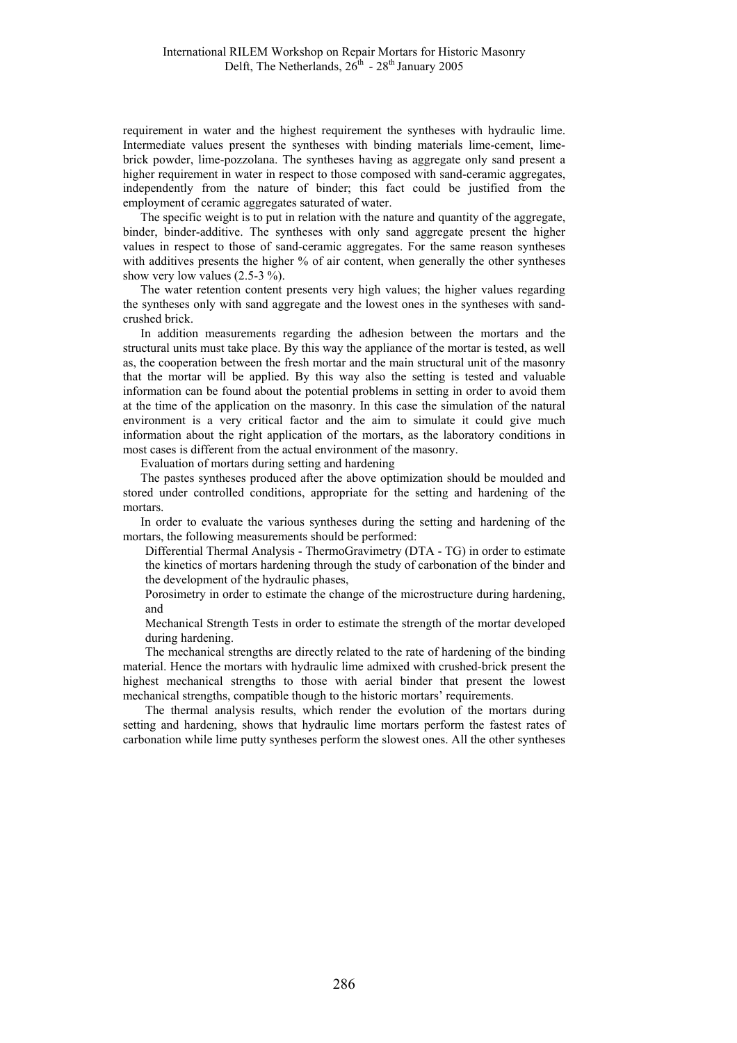requirement in water and the highest requirement the syntheses with hydraulic lime. Intermediate values present the syntheses with binding materials lime-cement, limebrick powder, lime-pozzolana. The syntheses having as aggregate only sand present a higher requirement in water in respect to those composed with sand-ceramic aggregates, independently from the nature of binder; this fact could be justified from the employment of ceramic aggregates saturated of water.

The specific weight is to put in relation with the nature and quantity of the aggregate, binder, binder-additive. The syntheses with only sand aggregate present the higher values in respect to those of sand-ceramic aggregates. For the same reason syntheses with additives presents the higher % of air content, when generally the other syntheses show very low values  $(2.5-3\%)$ .

The water retention content presents very high values; the higher values regarding the syntheses only with sand aggregate and the lowest ones in the syntheses with sandcrushed brick.

In addition measurements regarding the adhesion between the mortars and the structural units must take place. By this way the appliance of the mortar is tested, as well as, the cooperation between the fresh mortar and the main structural unit of the masonry that the mortar will be applied. By this way also the setting is tested and valuable information can be found about the potential problems in setting in order to avoid them at the time of the application on the masonry. In this case the simulation of the natural environment is a very critical factor and the aim to simulate it could give much information about the right application of the mortars, as the laboratory conditions in most cases is different from the actual environment of the masonry.

Evaluation of mortars during setting and hardening

The pastes syntheses produced after the above optimization should be moulded and stored under controlled conditions, appropriate for the setting and hardening of the mortars.

In order to evaluate the various syntheses during the setting and hardening of the mortars, the following measurements should be performed:

Differential Thermal Analysis - ThermoGravimetry (DTA - TG) in order to estimate the kinetics of mortars hardening through the study of carbonation of the binder and the development of the hydraulic phases,

Porosimetry in order to estimate the change of the microstructure during hardening, and

Mechanical Strength Tests in order to estimate the strength of the mortar developed during hardening.

The mechanical strengths are directly related to the rate of hardening of the binding material. Hence the mortars with hydraulic lime admixed with crushed-brick present the highest mechanical strengths to those with aerial binder that present the lowest mechanical strengths, compatible though to the historic mortars' requirements.

The thermal analysis results, which render the evolution of the mortars during setting and hardening, shows that hydraulic lime mortars perform the fastest rates of carbonation while lime putty syntheses perform the slowest ones. All the other syntheses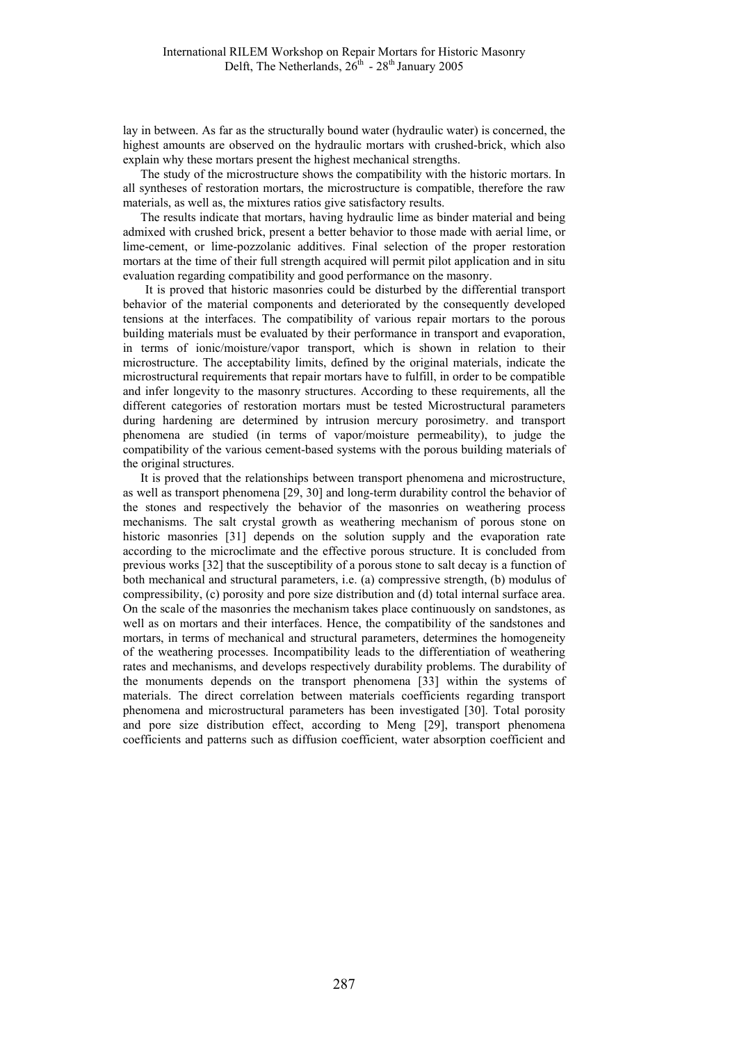lay in between. As far as the structurally bound water (hydraulic water) is concerned, the highest amounts are observed on the hydraulic mortars with crushed-brick, which also explain why these mortars present the highest mechanical strengths.

The study of the microstructure shows the compatibility with the historic mortars. In all syntheses of restoration mortars, the microstructure is compatible, therefore the raw materials, as well as, the mixtures ratios give satisfactory results.

The results indicate that mortars, having hydraulic lime as binder material and being admixed with crushed brick, present a better behavior to those made with aerial lime, or lime-cement, or lime-pozzolanic additives. Final selection of the proper restoration mortars at the time of their full strength acquired will permit pilot application and in situ evaluation regarding compatibility and good performance on the masonry.

It is proved that historic masonries could be disturbed by the differential transport behavior of the material components and deteriorated by the consequently developed tensions at the interfaces. The compatibility of various repair mortars to the porous building materials must be evaluated by their performance in transport and evaporation, in terms of ionic/moisture/vapor transport, which is shown in relation to their microstructure. The acceptability limits, defined by the original materials, indicate the microstructural requirements that repair mortars have to fulfill, in order to be compatible and infer longevity to the masonry structures. According to these requirements, all the different categories of restoration mortars must be tested Microstructural parameters during hardening are determined by intrusion mercury porosimetry. and transport phenomena are studied (in terms of vapor/moisture permeability), to judge the compatibility of the various cement-based systems with the porous building materials of the original structures.

It is proved that the relationships between transport phenomena and microstructure, as well as transport phenomena [29, 30] and long-term durability control the behavior of the stones and respectively the behavior of the masonries on weathering process mechanisms. The salt crystal growth as weathering mechanism of porous stone on historic masonries [31] depends on the solution supply and the evaporation rate according to the microclimate and the effective porous structure. It is concluded from previous works [32] that the susceptibility of a porous stone to salt decay is a function of both mechanical and structural parameters, i.e. (a) compressive strength, (b) modulus of compressibility, (c) porosity and pore size distribution and (d) total internal surface area. On the scale of the masonries the mechanism takes place continuously on sandstones, as well as on mortars and their interfaces. Hence, the compatibility of the sandstones and mortars, in terms of mechanical and structural parameters, determines the homogeneity of the weathering processes. Incompatibility leads to the differentiation of weathering rates and mechanisms, and develops respectively durability problems. The durability of the monuments depends on the transport phenomena [33] within the systems of materials. The direct correlation between materials coefficients regarding transport phenomena and microstructural parameters has been investigated [30]. Total porosity and pore size distribution effect, according to Meng [29], transport phenomena coefficients and patterns such as diffusion coefficient, water absorption coefficient and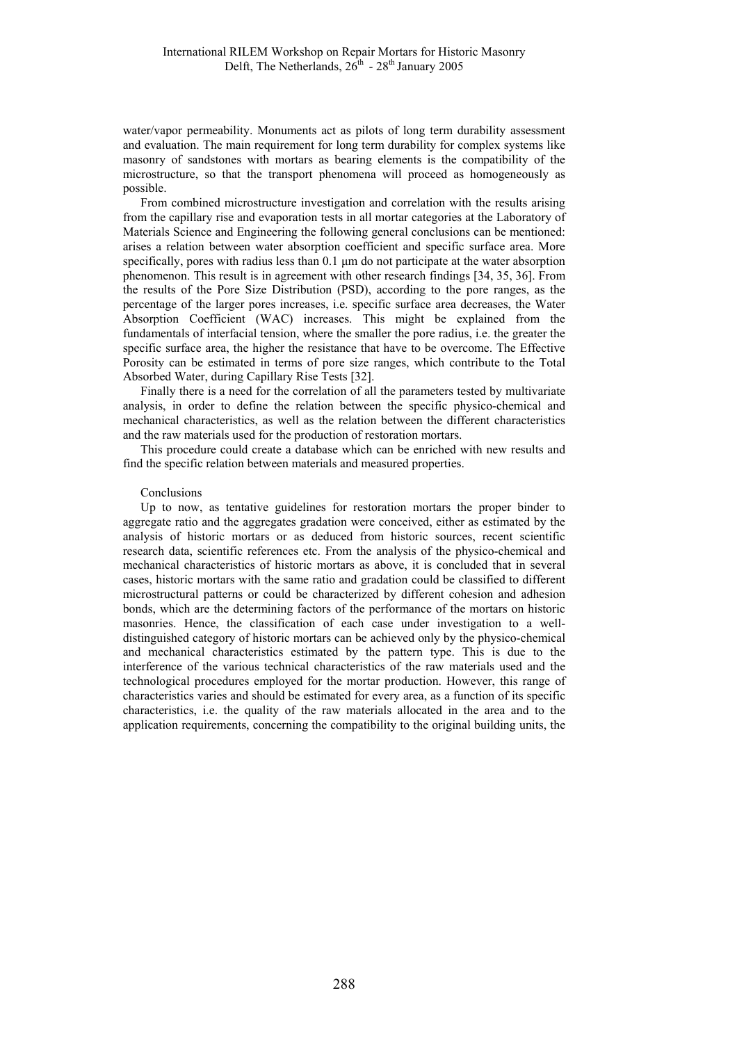water/vapor permeability. Monuments act as pilots of long term durability assessment and evaluation. The main requirement for long term durability for complex systems like masonry of sandstones with mortars as bearing elements is the compatibility of the microstructure, so that the transport phenomena will proceed as homogeneously as possible.

From combined microstructure investigation and correlation with the results arising from the capillary rise and evaporation tests in all mortar categories at the Laboratory of Materials Science and Engineering the following general conclusions can be mentioned: arises a relation between water absorption coefficient and specific surface area. More specifically, pores with radius less than 0.1 um do not participate at the water absorption phenomenon. This result is in agreement with other research findings [34, 35, 36]. From the results of the Pore Size Distribution (PSD), according to the pore ranges, as the percentage of the larger pores increases, i.e. specific surface area decreases, the Water Absorption Coefficient (WAC) increases. This might be explained from the fundamentals of interfacial tension, where the smaller the pore radius, i.e. the greater the specific surface area, the higher the resistance that have to be overcome. The Effective Porosity can be estimated in terms of pore size ranges, which contribute to the Total Absorbed Water, during Capillary Rise Tests [32].

Finally there is a need for the correlation of all the parameters tested by multivariate analysis, in order to define the relation between the specific physico-chemical and mechanical characteristics, as well as the relation between the different characteristics and the raw materials used for the production of restoration mortars.

This procedure could create a database which can be enriched with new results and find the specific relation between materials and measured properties.

#### Conclusions

Up to now, as tentative guidelines for restoration mortars the proper binder to aggregate ratio and the aggregates gradation were conceived, either as estimated by the analysis of historic mortars or as deduced from historic sources, recent scientific research data, scientific references etc. From the analysis of the physico-chemical and mechanical characteristics of historic mortars as above, it is concluded that in several cases, historic mortars with the same ratio and gradation could be classified to different microstructural patterns or could be characterized by different cohesion and adhesion bonds, which are the determining factors of the performance of the mortars on historic masonries. Hence, the classification of each case under investigation to a welldistinguished category of historic mortars can be achieved only by the physico-chemical and mechanical characteristics estimated by the pattern type. This is due to the interference of the various technical characteristics of the raw materials used and the technological procedures employed for the mortar production. However, this range of characteristics varies and should be estimated for every area, as a function of its specific characteristics, i.e. the quality of the raw materials allocated in the area and to the application requirements, concerning the compatibility to the original building units, the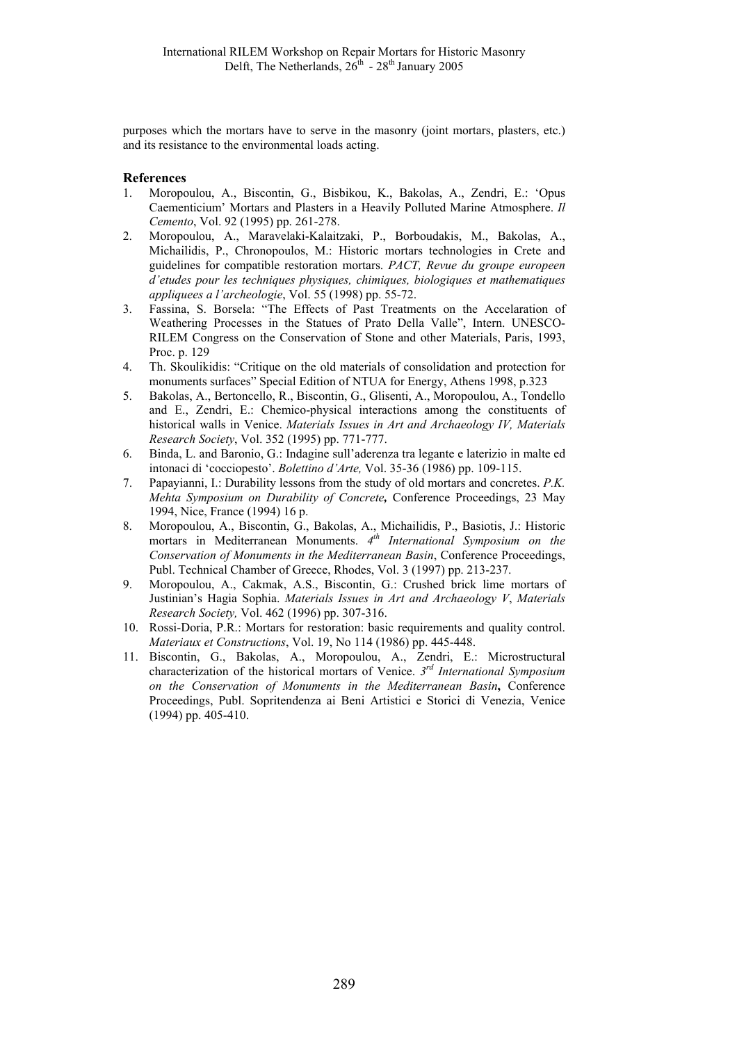purposes which the mortars have to serve in the masonry (joint mortars, plasters, etc.) and its resistance to the environmental loads acting.

## **References**

- 1. Moropoulou, A., Biscontin, G., Bisbikou, K., Bakolas, A., Zendri, E.: 'Opus Caementicium' Mortars and Plasters in a Heavily Polluted Marine Atmosphere. *Il Cemento*, Vol. 92 (1995) pp. 261-278.
- 2. Moropoulou, A., Maravelaki-Kalaitzaki, P., Borboudakis, M., Bakolas, A., Michailidis, P., Chronopoulos, M.: Historic mortars technologies in Crete and guidelines for compatible restoration mortars. *PACT, Revue du groupe europeen d'etudes pour les techniques physiques, chimiques, biologiques et mathematiques appliquees a l'archeologie*, Vol. 55 (1998) pp. 55-72.
- 3. Fassina, S. Borsela: "The Effects of Past Treatments on the Accelaration of Weathering Processes in the Statues of Prato Della Valle", Intern. UNESCO-RILEM Congress on the Conservation of Stone and other Materials, Paris, 1993, Proc. p. 129
- 4. Th. Skoulikidis: "Critique on the old materials of consolidation and protection for monuments surfaces" Special Edition of NTUA for Energy, Athens 1998, p.323
- 5. Bakolas, A., Bertoncello, R., Biscontin, G., Glisenti, A., Moropoulou, A., Tondello and E., Zendri, E.: Chemico-physical interactions among the constituents of historical walls in Venice. *Materials Issues in Art and Archaeology IV, Materials Research Society*, Vol. 352 (1995) pp. 771-777.
- 6. Binda, L. and Baronio, G.: Indagine sull'aderenza tra legante e laterizio in malte ed intonaci di 'cocciopesto'. *Bolettino d'Arte,* Vol. 35-36 (1986) pp. 109-115.
- 7. Papayianni, I.: Durability lessons from the study of old mortars and concretes. *P.K. Mehta Symposium on Durability of Concrete,* Conference Proceedings, 23 May 1994, Nice, France (1994) 16 p.
- 8. Moropoulou, A., Biscontin, G., Bakolas, A., Michailidis, P., Basiotis, J.: Historic mortars in Mediterranean Monuments. *4th International Symposium on the Conservation of Monuments in the Mediterranean Basin*, Conference Proceedings, Publ. Technical Chamber of Greece, Rhodes, Vol. 3 (1997) pp. 213-237.
- 9. Moropoulou, A., Cakmak, A.S., Biscontin, G.: Crushed brick lime mortars of Justinian's Hagia Sophia. *Materials Issues in Art and Archaeology V*, *Materials Research Society,* Vol. 462 (1996) pp. 307-316.
- 10. Rossi-Doria, P.R.: Mortars for restoration: basic requirements and quality control. *Materiaux et Constructions*, Vol. 19, No 114 (1986) pp. 445-448.
- 11. Biscontin, G., Bakolas, A., Moropoulou, A., Zendri, E.: Microstructural characterization of the historical mortars of Venice. *3rd International Symposium on the Conservation of Monuments in the Mediterranean Basin***,** Conference Proceedings, Publ. Sopritendenza ai Beni Artistici e Storici di Venezia, Venice (1994) pp. 405-410.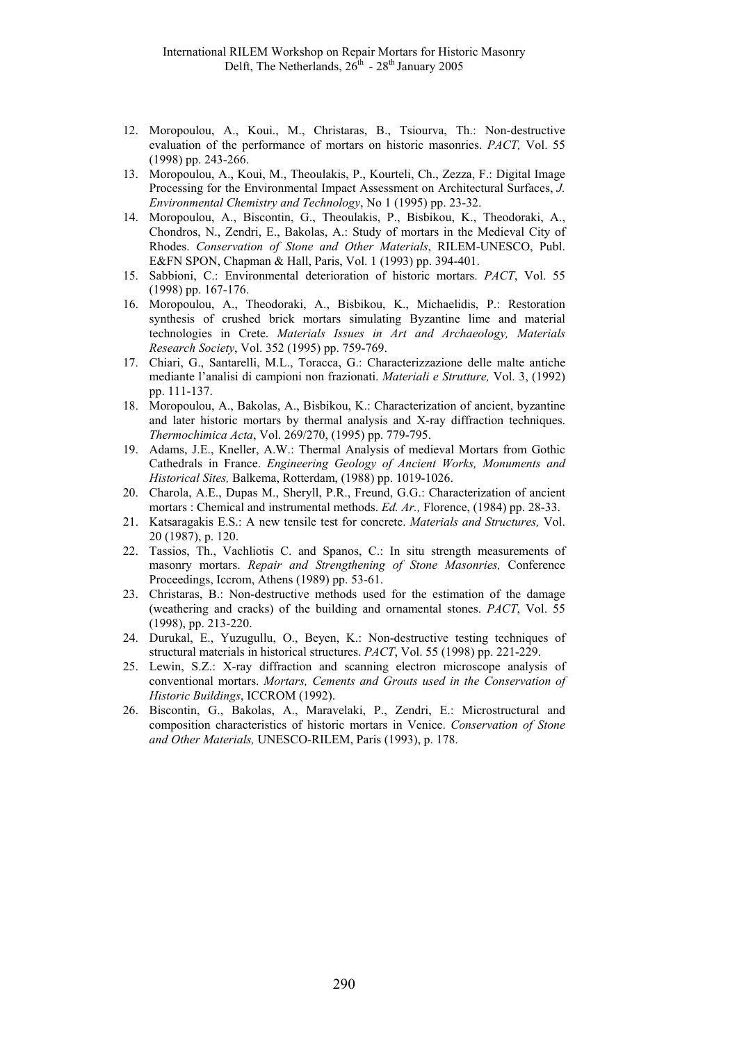- 12. Moropoulou, A., Koui., M., Christaras, B., Tsiourva, Th.: Non-destructive evaluation of the performance of mortars on historic masonries. *PACT,* Vol. 55 (1998) pp. 243-266.
- 13. Moropoulou, A., Koui, M., Theoulakis, P., Kourteli, Ch., Zezza, F.: Digital Image Processing for the Environmental Impact Assessment on Architectural Surfaces, *J. Environmental Chemistry and Technology*, No 1 (1995) pp. 23-32.
- 14. Moropoulou, A., Biscontin, G., Theoulakis, P., Bisbikou, K., Theodoraki, A., Chondros, N., Zendri, E., Bakolas, A.: Study of mortars in the Medieval City of Rhodes. *Conservation of Stone and Other Materials*, RILEM-UNESCO, Publ. E&FN SPON, Chapman & Hall, Paris, Vol. 1 (1993) pp. 394-401.
- 15. Sabbioni, C.: Environmental deterioration of historic mortars. *PACT*, Vol. 55 (1998) pp. 167-176.
- 16. Moropoulou, A., Theodoraki, A., Bisbikou, K., Michaelidis, P.: Restoration synthesis of crushed brick mortars simulating Byzantine lime and material technologies in Crete. *Materials Issues in Art and Archaeology, Materials Research Society*, Vol. 352 (1995) pp. 759-769.
- 17. Chiari, G., Santarelli, M.L., Toracca, G.: Characterizzazione delle malte antiche mediante l'analisi di campioni non frazionati. *Materiali e Strutture,* Vol. 3, (1992) pp. 111-137.
- 18. Moropoulou, A., Bakolas, A., Bisbikou, K.: Characterization of ancient, byzantine and later historic mortars by thermal analysis and X-ray diffraction techniques. *Thermochimica Acta*, Vol. 269/270, (1995) pp. 779-795.
- 19. Adams, J.E., Kneller, A.W.: Thermal Analysis of medieval Mortars from Gothic Cathedrals in France. *Engineering Geology of Ancient Works, Monuments and Historical Sites,* Balkema, Rotterdam, (1988) pp. 1019-1026.
- 20. Charola, A.E., Dupas M., Sheryll, P.R., Freund, G.G.: Characterization of ancient mortars : Chemical and instrumental methods. *Ed. Ar.,* Florence, (1984) pp. 28-33.
- 21. Katsaragakis E.S.: A new tensile test for concrete. *Materials and Structures,* Vol. 20 (1987), p. 120.
- 22. Tassios, Th., Vachliotis C. and Spanos, C.: In situ strength measurements of masonry mortars. *Repair and Strengthening of Stone Masonries,* Conference Proceedings, Iccrom, Athens (1989) pp. 53-61.
- 23. Christaras, B.: Non-destructive methods used for the estimation of the damage (weathering and cracks) of the building and ornamental stones. *PACT*, Vol. 55 (1998), pp. 213-220.
- 24. Durukal, E., Yuzugullu, O., Beyen, K.: Non-destructive testing techniques of structural materials in historical structures. *PACT*, Vol. 55 (1998) pp. 221-229.
- 25. Lewin, S.Z.: X-ray diffraction and scanning electron microscope analysis of conventional mortars. *Mortars, Cements and Grouts used in the Conservation of Historic Buildings*, ICCROM (1992).
- 26. Biscontin, G., Bakolas, A., Maravelaki, P., Zendri, E.: Microstructural and composition characteristics of historic mortars in Venice. *Conservation of Stone and Other Materials,* UNESCO-RILEM, Paris (1993), p. 178.